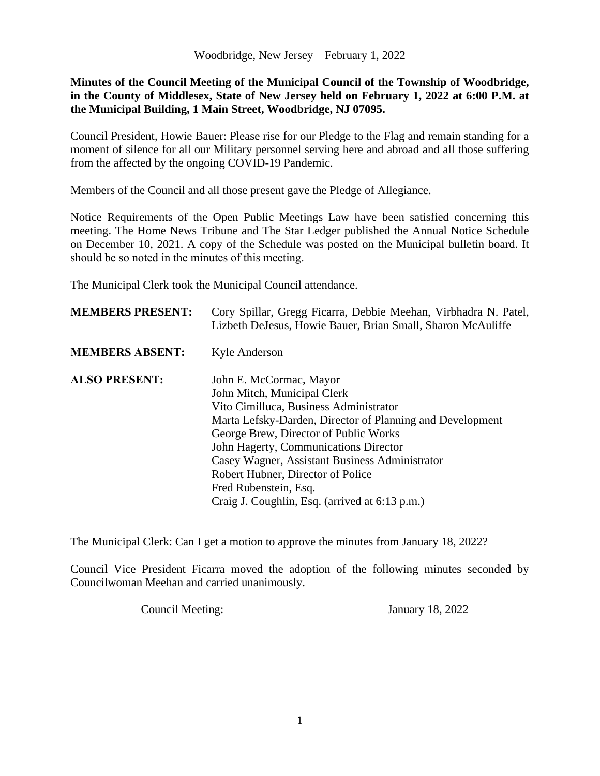**Minutes of the Council Meeting of the Municipal Council of the Township of Woodbridge, in the County of Middlesex, State of New Jersey held on February 1, 2022 at 6:00 P.M. at the Municipal Building, 1 Main Street, Woodbridge, NJ 07095.**

Council President, Howie Bauer: Please rise for our Pledge to the Flag and remain standing for a moment of silence for all our Military personnel serving here and abroad and all those suffering from the affected by the ongoing COVID-19 Pandemic.

Members of the Council and all those present gave the Pledge of Allegiance.

Notice Requirements of the Open Public Meetings Law have been satisfied concerning this meeting. The Home News Tribune and The Star Ledger published the Annual Notice Schedule on December 10, 2021. A copy of the Schedule was posted on the Municipal bulletin board. It should be so noted in the minutes of this meeting.

The Municipal Clerk took the Municipal Council attendance.

| <b>MEMBERS PRESENT:</b> | Cory Spillar, Gregg Ficarra, Debbie Meehan, Virbhadra N. Patel,<br>Lizbeth DeJesus, Howie Bauer, Brian Small, Sharon McAuliffe |
|-------------------------|--------------------------------------------------------------------------------------------------------------------------------|
| <b>MEMBERS ABSENT:</b>  | Kyle Anderson                                                                                                                  |
| <b>ALSO PRESENT:</b>    | John E. McCormac, Mayor                                                                                                        |
|                         | John Mitch, Municipal Clerk                                                                                                    |
|                         | Vito Cimilluca, Business Administrator                                                                                         |
|                         | Marta Lefsky-Darden, Director of Planning and Development                                                                      |
|                         | George Brew, Director of Public Works                                                                                          |
|                         | John Hagerty, Communications Director                                                                                          |
|                         | Casey Wagner, Assistant Business Administrator                                                                                 |
|                         | Robert Hubner, Director of Police                                                                                              |
|                         | Fred Rubenstein, Esq.                                                                                                          |
|                         | Craig J. Coughlin, Esq. (arrived at 6:13 p.m.)                                                                                 |

The Municipal Clerk: Can I get a motion to approve the minutes from January 18, 2022?

Council Vice President Ficarra moved the adoption of the following minutes seconded by Councilwoman Meehan and carried unanimously.

Council Meeting: January 18, 2022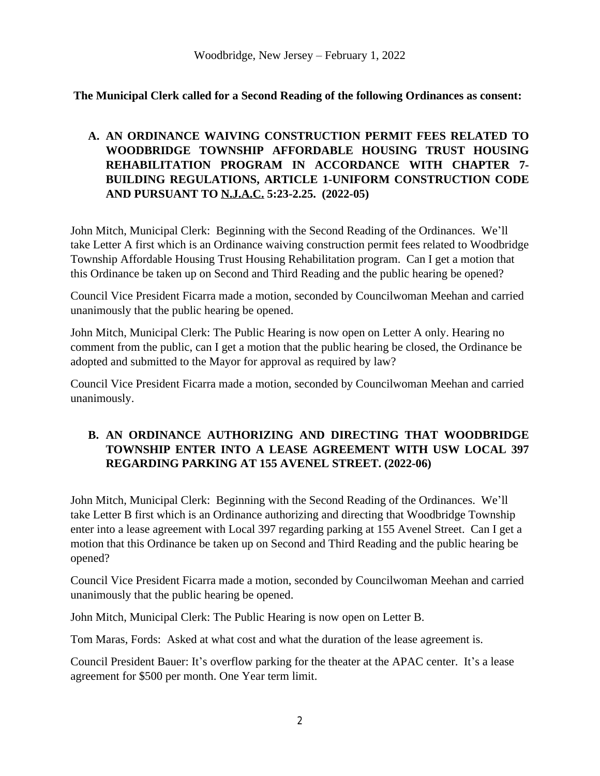**The Municipal Clerk called for a Second Reading of the following Ordinances as consent:**

# **A. AN ORDINANCE WAIVING CONSTRUCTION PERMIT FEES RELATED TO WOODBRIDGE TOWNSHIP AFFORDABLE HOUSING TRUST HOUSING REHABILITATION PROGRAM IN ACCORDANCE WITH CHAPTER 7- BUILDING REGULATIONS, ARTICLE 1-UNIFORM CONSTRUCTION CODE AND PURSUANT TO N.J.A.C. 5:23-2.25. (2022-05)**

John Mitch, Municipal Clerk: Beginning with the Second Reading of the Ordinances. We'll take Letter A first which is an Ordinance waiving construction permit fees related to Woodbridge Township Affordable Housing Trust Housing Rehabilitation program. Can I get a motion that this Ordinance be taken up on Second and Third Reading and the public hearing be opened?

Council Vice President Ficarra made a motion, seconded by Councilwoman Meehan and carried unanimously that the public hearing be opened.

John Mitch, Municipal Clerk: The Public Hearing is now open on Letter A only. Hearing no comment from the public, can I get a motion that the public hearing be closed, the Ordinance be adopted and submitted to the Mayor for approval as required by law?

Council Vice President Ficarra made a motion, seconded by Councilwoman Meehan and carried unanimously.

# **B. AN ORDINANCE AUTHORIZING AND DIRECTING THAT WOODBRIDGE TOWNSHIP ENTER INTO A LEASE AGREEMENT WITH USW LOCAL 397 REGARDING PARKING AT 155 AVENEL STREET. (2022-06)**

John Mitch, Municipal Clerk: Beginning with the Second Reading of the Ordinances. We'll take Letter B first which is an Ordinance authorizing and directing that Woodbridge Township enter into a lease agreement with Local 397 regarding parking at 155 Avenel Street. Can I get a motion that this Ordinance be taken up on Second and Third Reading and the public hearing be opened?

Council Vice President Ficarra made a motion, seconded by Councilwoman Meehan and carried unanimously that the public hearing be opened.

John Mitch, Municipal Clerk: The Public Hearing is now open on Letter B.

Tom Maras, Fords: Asked at what cost and what the duration of the lease agreement is.

Council President Bauer: It's overflow parking for the theater at the APAC center. It's a lease agreement for \$500 per month. One Year term limit.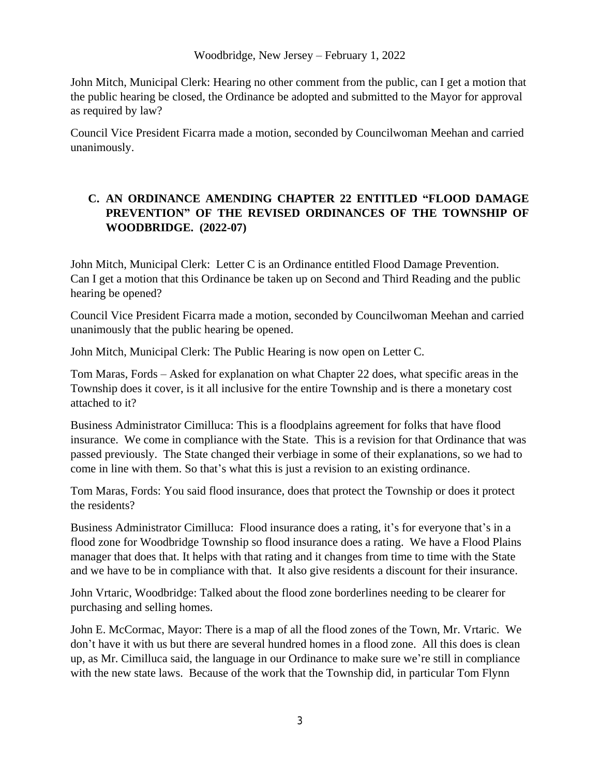John Mitch, Municipal Clerk: Hearing no other comment from the public, can I get a motion that the public hearing be closed, the Ordinance be adopted and submitted to the Mayor for approval as required by law?

Council Vice President Ficarra made a motion, seconded by Councilwoman Meehan and carried unanimously.

## **C. AN ORDINANCE AMENDING CHAPTER 22 ENTITLED "FLOOD DAMAGE PREVENTION" OF THE REVISED ORDINANCES OF THE TOWNSHIP OF WOODBRIDGE. (2022-07)**

John Mitch, Municipal Clerk: Letter C is an Ordinance entitled Flood Damage Prevention. Can I get a motion that this Ordinance be taken up on Second and Third Reading and the public hearing be opened?

Council Vice President Ficarra made a motion, seconded by Councilwoman Meehan and carried unanimously that the public hearing be opened.

John Mitch, Municipal Clerk: The Public Hearing is now open on Letter C.

Tom Maras, Fords – Asked for explanation on what Chapter 22 does, what specific areas in the Township does it cover, is it all inclusive for the entire Township and is there a monetary cost attached to it?

Business Administrator Cimilluca: This is a floodplains agreement for folks that have flood insurance. We come in compliance with the State. This is a revision for that Ordinance that was passed previously. The State changed their verbiage in some of their explanations, so we had to come in line with them. So that's what this is just a revision to an existing ordinance.

Tom Maras, Fords: You said flood insurance, does that protect the Township or does it protect the residents?

Business Administrator Cimilluca: Flood insurance does a rating, it's for everyone that's in a flood zone for Woodbridge Township so flood insurance does a rating. We have a Flood Plains manager that does that. It helps with that rating and it changes from time to time with the State and we have to be in compliance with that. It also give residents a discount for their insurance.

John Vrtaric, Woodbridge: Talked about the flood zone borderlines needing to be clearer for purchasing and selling homes.

John E. McCormac, Mayor: There is a map of all the flood zones of the Town, Mr. Vrtaric. We don't have it with us but there are several hundred homes in a flood zone. All this does is clean up, as Mr. Cimilluca said, the language in our Ordinance to make sure we're still in compliance with the new state laws. Because of the work that the Township did, in particular Tom Flynn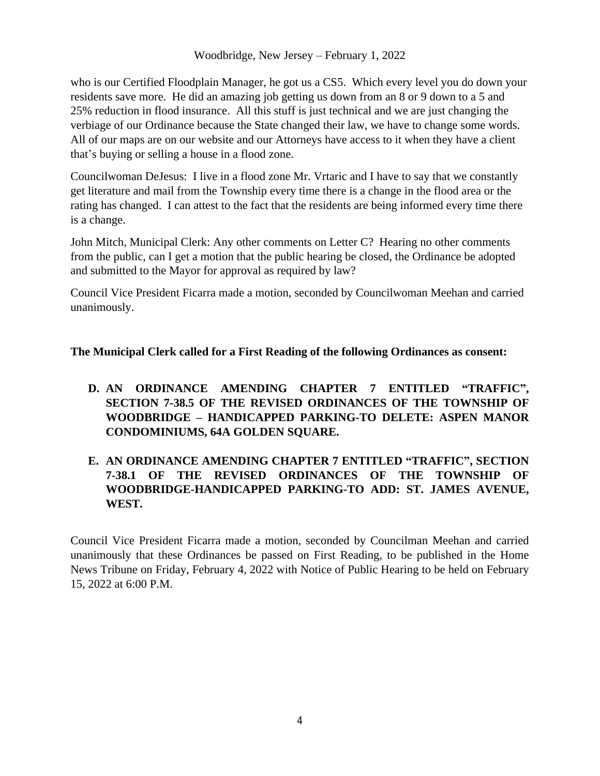who is our Certified Floodplain Manager, he got us a CS5. Which every level you do down your residents save more. He did an amazing job getting us down from an 8 or 9 down to a 5 and 25% reduction in flood insurance. All this stuff is just technical and we are just changing the verbiage of our Ordinance because the State changed their law, we have to change some words. All of our maps are on our website and our Attorneys have access to it when they have a client that's buying or selling a house in a flood zone.

Councilwoman DeJesus: I live in a flood zone Mr. Vrtaric and I have to say that we constantly get literature and mail from the Township every time there is a change in the flood area or the rating has changed. I can attest to the fact that the residents are being informed every time there is a change.

John Mitch, Municipal Clerk: Any other comments on Letter C? Hearing no other comments from the public, can I get a motion that the public hearing be closed, the Ordinance be adopted and submitted to the Mayor for approval as required by law?

Council Vice President Ficarra made a motion, seconded by Councilwoman Meehan and carried unanimously.

**The Municipal Clerk called for a First Reading of the following Ordinances as consent:**

**D. AN ORDINANCE AMENDING CHAPTER 7 ENTITLED "TRAFFIC" , SECTION 7-38.5 OF THE REVISED ORDINANCES OF THE TOWNSHIP OF WOODBRIDGE – HANDICAPPED PARKING-TO DELETE: ASPEN MANOR CONDOMINIUMS, 64A GOLDEN SQUARE.** 

# **E. AN ORDINANCE AMENDING CHAPTER 7 ENTITLED "TRAFFIC" , SECTION 7-38.1 OF THE REVISED ORDINANCES OF THE TOWNSHIP OF WOODBRIDGE-HANDICAPPED PARKING-TO ADD: ST. JAMES AVENUE, WEST.**

Council Vice President Ficarra made a motion, seconded by Councilman Meehan and carried unanimously that these Ordinances be passed on First Reading, to be published in the Home News Tribune on Friday, February 4, 2022 with Notice of Public Hearing to be held on February 15, 2022 at 6:00 P.M.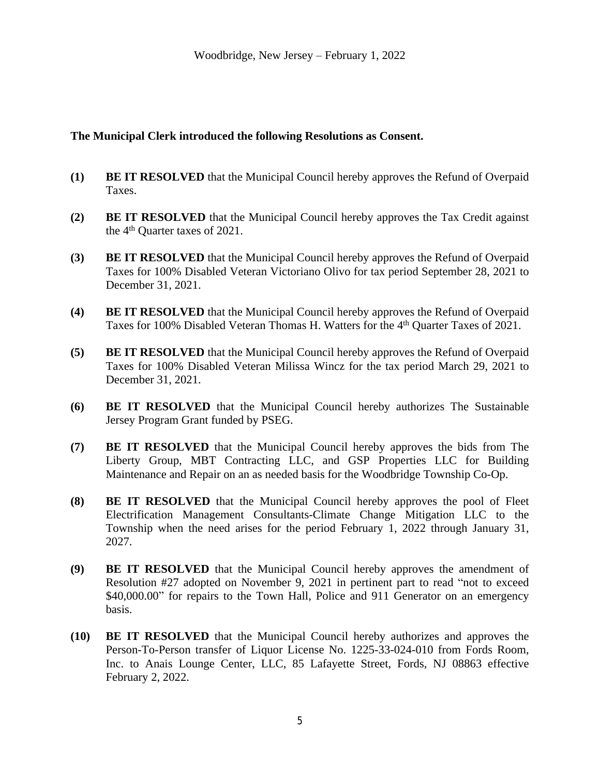### **The Municipal Clerk introduced the following Resolutions as Consent.**

- **(1) BE IT RESOLVED** that the Municipal Council hereby approves the Refund of Overpaid Taxes.
- **(2) BE IT RESOLVED** that the Municipal Council hereby approves the Tax Credit against the 4 th Quarter taxes of 2021.
- **(3) BE IT RESOLVED** that the Municipal Council hereby approves the Refund of Overpaid Taxes for 100% Disabled Veteran Victoriano Olivo for tax period September 28, 2021 to December 31, 2021.
- **(4) BE IT RESOLVED** that the Municipal Council hereby approves the Refund of Overpaid Taxes for 100% Disabled Veteran Thomas H. Watters for the 4<sup>th</sup> Quarter Taxes of 2021.
- **(5) BE IT RESOLVED** that the Municipal Council hereby approves the Refund of Overpaid Taxes for 100% Disabled Veteran Milissa Wincz for the tax period March 29, 2021 to December 31, 2021.
- **(6) BE IT RESOLVED** that the Municipal Council hereby authorizes The Sustainable Jersey Program Grant funded by PSEG.
- **(7) BE IT RESOLVED** that the Municipal Council hereby approves the bids from The Liberty Group, MBT Contracting LLC, and GSP Properties LLC for Building Maintenance and Repair on an as needed basis for the Woodbridge Township Co-Op.
- **(8) BE IT RESOLVED** that the Municipal Council hereby approves the pool of Fleet Electrification Management Consultants-Climate Change Mitigation LLC to the Township when the need arises for the period February 1, 2022 through January 31, 2027.
- **(9) BE IT RESOLVED** that the Municipal Council hereby approves the amendment of Resolution #27 adopted on November 9, 2021 in pertinent part to read "not to exceed \$40,000.00" for repairs to the Town Hall, Police and 911 Generator on an emergency basis.
- **(10) BE IT RESOLVED** that the Municipal Council hereby authorizes and approves the Person-To-Person transfer of Liquor License No. 1225-33-024-010 from Fords Room, Inc. to Anais Lounge Center, LLC, 85 Lafayette Street, Fords, NJ 08863 effective February 2, 2022.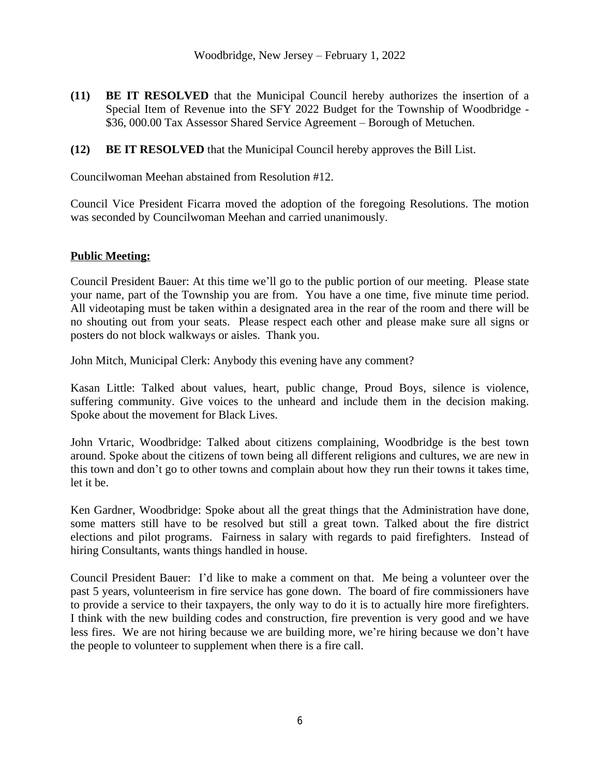- **(11) BE IT RESOLVED** that the Municipal Council hereby authorizes the insertion of a Special Item of Revenue into the SFY 2022 Budget for the Township of Woodbridge - \$36, 000.00 Tax Assessor Shared Service Agreement – Borough of Metuchen.
- **(12) BE IT RESOLVED** that the Municipal Council hereby approves the Bill List.

Councilwoman Meehan abstained from Resolution #12.

Council Vice President Ficarra moved the adoption of the foregoing Resolutions. The motion was seconded by Councilwoman Meehan and carried unanimously.

### **Public Meeting:**

Council President Bauer: At this time we'll go to the public portion of our meeting. Please state your name, part of the Township you are from. You have a one time, five minute time period. All videotaping must be taken within a designated area in the rear of the room and there will be no shouting out from your seats. Please respect each other and please make sure all signs or posters do not block walkways or aisles. Thank you.

John Mitch, Municipal Clerk: Anybody this evening have any comment?

Kasan Little: Talked about values, heart, public change, Proud Boys, silence is violence, suffering community. Give voices to the unheard and include them in the decision making. Spoke about the movement for Black Lives.

John Vrtaric, Woodbridge: Talked about citizens complaining, Woodbridge is the best town around. Spoke about the citizens of town being all different religions and cultures, we are new in this town and don't go to other towns and complain about how they run their towns it takes time, let it be.

Ken Gardner, Woodbridge: Spoke about all the great things that the Administration have done, some matters still have to be resolved but still a great town. Talked about the fire district elections and pilot programs. Fairness in salary with regards to paid firefighters. Instead of hiring Consultants, wants things handled in house.

Council President Bauer: I'd like to make a comment on that. Me being a volunteer over the past 5 years, volunteerism in fire service has gone down. The board of fire commissioners have to provide a service to their taxpayers, the only way to do it is to actually hire more firefighters. I think with the new building codes and construction, fire prevention is very good and we have less fires. We are not hiring because we are building more, we're hiring because we don't have the people to volunteer to supplement when there is a fire call.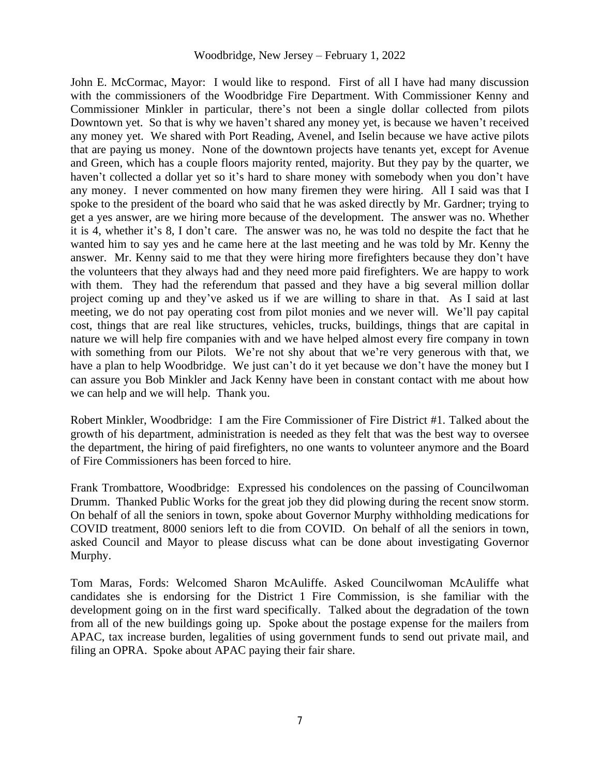John E. McCormac, Mayor: I would like to respond. First of all I have had many discussion with the commissioners of the Woodbridge Fire Department. With Commissioner Kenny and Commissioner Minkler in particular, there's not been a single dollar collected from pilots Downtown yet. So that is why we haven't shared any money yet, is because we haven't received any money yet. We shared with Port Reading, Avenel, and Iselin because we have active pilots that are paying us money. None of the downtown projects have tenants yet, except for Avenue and Green, which has a couple floors majority rented, majority. But they pay by the quarter, we haven't collected a dollar yet so it's hard to share money with somebody when you don't have any money. I never commented on how many firemen they were hiring. All I said was that I spoke to the president of the board who said that he was asked directly by Mr. Gardner; trying to get a yes answer, are we hiring more because of the development. The answer was no. Whether it is 4, whether it's 8, I don't care. The answer was no, he was told no despite the fact that he wanted him to say yes and he came here at the last meeting and he was told by Mr. Kenny the answer. Mr. Kenny said to me that they were hiring more firefighters because they don't have the volunteers that they always had and they need more paid firefighters. We are happy to work with them. They had the referendum that passed and they have a big several million dollar project coming up and they've asked us if we are willing to share in that. As I said at last meeting, we do not pay operating cost from pilot monies and we never will. We'll pay capital cost, things that are real like structures, vehicles, trucks, buildings, things that are capital in nature we will help fire companies with and we have helped almost every fire company in town with something from our Pilots. We're not shy about that we're very generous with that, we have a plan to help Woodbridge. We just can't do it yet because we don't have the money but I can assure you Bob Minkler and Jack Kenny have been in constant contact with me about how we can help and we will help. Thank you.

Robert Minkler, Woodbridge: I am the Fire Commissioner of Fire District #1. Talked about the growth of his department, administration is needed as they felt that was the best way to oversee the department, the hiring of paid firefighters, no one wants to volunteer anymore and the Board of Fire Commissioners has been forced to hire.

Frank Trombattore, Woodbridge: Expressed his condolences on the passing of Councilwoman Drumm. Thanked Public Works for the great job they did plowing during the recent snow storm. On behalf of all the seniors in town, spoke about Governor Murphy withholding medications for COVID treatment, 8000 seniors left to die from COVID. On behalf of all the seniors in town, asked Council and Mayor to please discuss what can be done about investigating Governor Murphy.

Tom Maras, Fords: Welcomed Sharon McAuliffe. Asked Councilwoman McAuliffe what candidates she is endorsing for the District 1 Fire Commission, is she familiar with the development going on in the first ward specifically. Talked about the degradation of the town from all of the new buildings going up. Spoke about the postage expense for the mailers from APAC, tax increase burden, legalities of using government funds to send out private mail, and filing an OPRA. Spoke about APAC paying their fair share.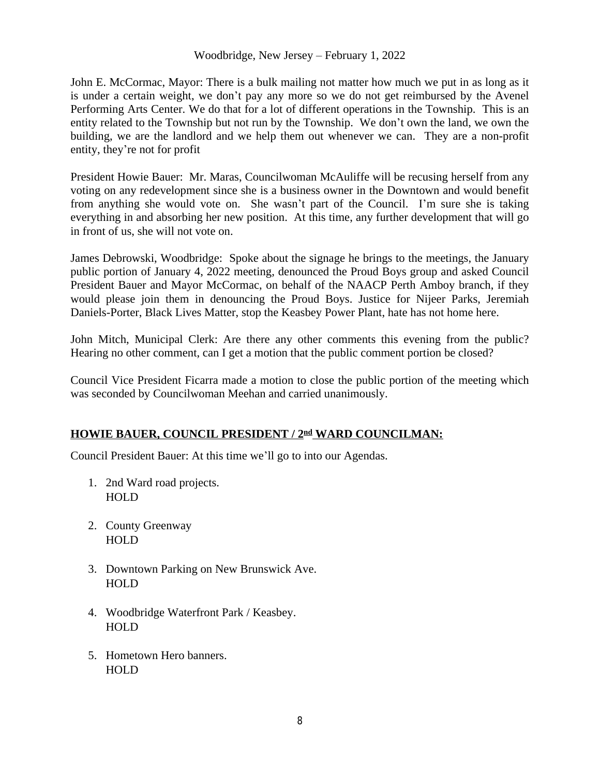John E. McCormac, Mayor: There is a bulk mailing not matter how much we put in as long as it is under a certain weight, we don't pay any more so we do not get reimbursed by the Avenel Performing Arts Center. We do that for a lot of different operations in the Township. This is an entity related to the Township but not run by the Township. We don't own the land, we own the building, we are the landlord and we help them out whenever we can. They are a non-profit entity, they're not for profit

President Howie Bauer: Mr. Maras, Councilwoman McAuliffe will be recusing herself from any voting on any redevelopment since she is a business owner in the Downtown and would benefit from anything she would vote on. She wasn't part of the Council. I'm sure she is taking everything in and absorbing her new position. At this time, any further development that will go in front of us, she will not vote on.

James Debrowski, Woodbridge: Spoke about the signage he brings to the meetings, the January public portion of January 4, 2022 meeting, denounced the Proud Boys group and asked Council President Bauer and Mayor McCormac, on behalf of the NAACP Perth Amboy branch, if they would please join them in denouncing the Proud Boys. Justice for Nijeer Parks, Jeremiah Daniels-Porter, Black Lives Matter, stop the Keasbey Power Plant, hate has not home here.

John Mitch, Municipal Clerk: Are there any other comments this evening from the public? Hearing no other comment, can I get a motion that the public comment portion be closed?

Council Vice President Ficarra made a motion to close the public portion of the meeting which was seconded by Councilwoman Meehan and carried unanimously.

## **HOWIE BAUER, COUNCIL PRESIDENT / 2nd WARD COUNCILMAN:**

Council President Bauer: At this time we'll go to into our Agendas.

- 1. 2nd Ward road projects. HOLD
- 2. County Greenway **HOLD**
- 3. Downtown Parking on New Brunswick Ave. **HOLD**
- 4. Woodbridge Waterfront Park / Keasbey. HOLD
- 5. Hometown Hero banners. HOLD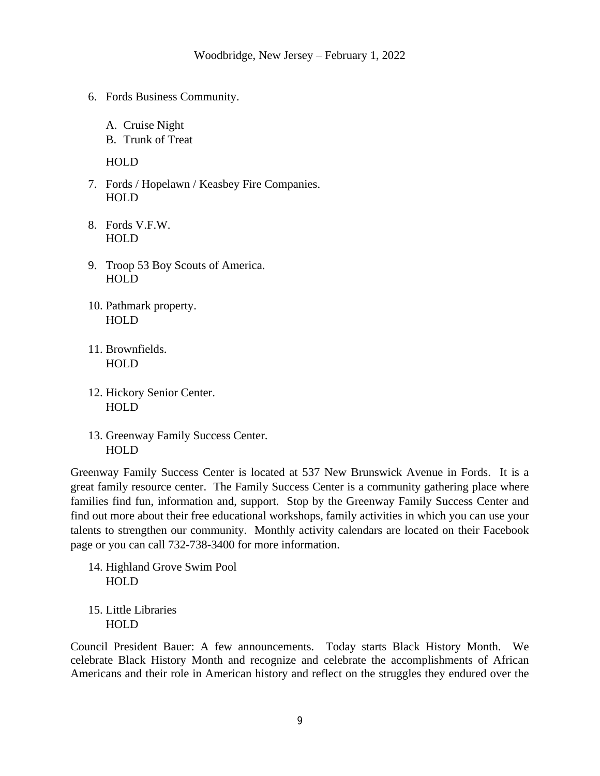- 6. Fords Business Community.
	- A. Cruise Night
	- B. Trunk of Treat

HOLD

- 7. Fords / Hopelawn / Keasbey Fire Companies. HOLD
- 8. Fords V.F.W. HOLD
- 9. Troop 53 Boy Scouts of America. HOLD
- 10. Pathmark property. HOLD
- 11. Brownfields. HOLD
- 12. Hickory Senior Center. HOLD
- 13. Greenway Family Success Center. HOLD

Greenway Family Success Center is located at 537 New Brunswick Avenue in Fords. It is a great family resource center. The Family Success Center is a community gathering place where families find fun, information and, support. Stop by the Greenway Family Success Center and find out more about their free educational workshops, family activities in which you can use your talents to strengthen our community. Monthly activity calendars are located on their Facebook page or you can call 732-738-3400 for more information.

14. Highland Grove Swim Pool HOLD

15. Little Libraries HOLD

Council President Bauer: A few announcements. Today starts Black History Month. We celebrate Black History Month and recognize and celebrate the accomplishments of African Americans and their role in American history and reflect on the struggles they endured over the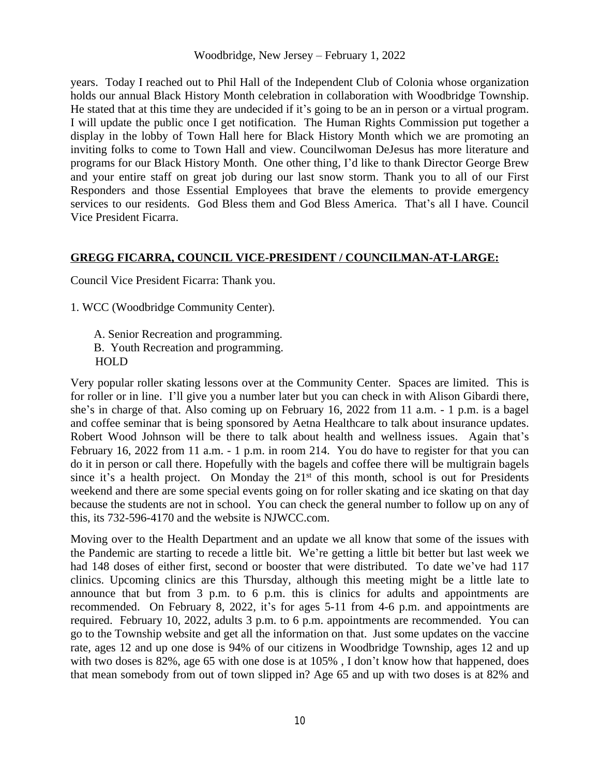years. Today I reached out to Phil Hall of the Independent Club of Colonia whose organization holds our annual Black History Month celebration in collaboration with Woodbridge Township. He stated that at this time they are undecided if it's going to be an in person or a virtual program. I will update the public once I get notification. The Human Rights Commission put together a display in the lobby of Town Hall here for Black History Month which we are promoting an inviting folks to come to Town Hall and view. Councilwoman DeJesus has more literature and programs for our Black History Month. One other thing, I'd like to thank Director George Brew and your entire staff on great job during our last snow storm. Thank you to all of our First Responders and those Essential Employees that brave the elements to provide emergency services to our residents. God Bless them and God Bless America. That's all I have. Council Vice President Ficarra.

### **GREGG FICARRA, COUNCIL VICE-PRESIDENT / COUNCILMAN-AT-LARGE:**

Council Vice President Ficarra: Thank you.

1. WCC (Woodbridge Community Center).

A. Senior Recreation and programming. B. Youth Recreation and programming. HOLD

Very popular roller skating lessons over at the Community Center. Spaces are limited. This is for roller or in line. I'll give you a number later but you can check in with Alison Gibardi there, she's in charge of that. Also coming up on February 16, 2022 from 11 a.m. - 1 p.m. is a bagel and coffee seminar that is being sponsored by Aetna Healthcare to talk about insurance updates. Robert Wood Johnson will be there to talk about health and wellness issues. Again that's February 16, 2022 from 11 a.m. - 1 p.m. in room 214. You do have to register for that you can do it in person or call there. Hopefully with the bagels and coffee there will be multigrain bagels since it's a health project. On Monday the  $21<sup>st</sup>$  of this month, school is out for Presidents weekend and there are some special events going on for roller skating and ice skating on that day because the students are not in school. You can check the general number to follow up on any of this, its 732-596-4170 and the website is NJWCC.com.

Moving over to the Health Department and an update we all know that some of the issues with the Pandemic are starting to recede a little bit. We're getting a little bit better but last week we had 148 doses of either first, second or booster that were distributed. To date we've had 117 clinics. Upcoming clinics are this Thursday, although this meeting might be a little late to announce that but from 3 p.m. to 6 p.m. this is clinics for adults and appointments are recommended. On February 8, 2022, it's for ages 5-11 from 4-6 p.m. and appointments are required. February 10, 2022, adults 3 p.m. to 6 p.m. appointments are recommended. You can go to the Township website and get all the information on that. Just some updates on the vaccine rate, ages 12 and up one dose is 94% of our citizens in Woodbridge Township, ages 12 and up with two doses is 82%, age 65 with one dose is at 105%, I don't know how that happened, does that mean somebody from out of town slipped in? Age 65 and up with two doses is at 82% and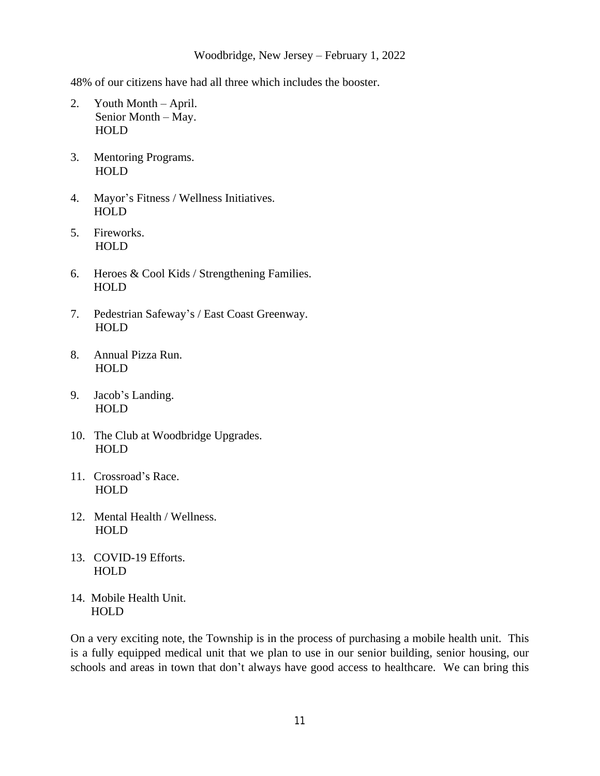48% of our citizens have had all three which includes the booster.

- 2. Youth Month April. Senior Month – May. HOLD
- 3. Mentoring Programs. HOLD
- 4. Mayor's Fitness / Wellness Initiatives. HOLD
- 5. Fireworks. HOLD
- 6. Heroes & Cool Kids / Strengthening Families. HOLD
- 7. Pedestrian Safeway's / East Coast Greenway. HOLD
- 8. Annual Pizza Run. HOLD
- 9. Jacob's Landing. HOLD
- 10. The Club at Woodbridge Upgrades. HOLD
- 11. Crossroad's Race. HOLD
- 12. Mental Health / Wellness. HOLD
- 13. COVID-19 Efforts. HOLD
- 14. Mobile Health Unit. HOLD

On a very exciting note, the Township is in the process of purchasing a mobile health unit. This is a fully equipped medical unit that we plan to use in our senior building, senior housing, our schools and areas in town that don't always have good access to healthcare. We can bring this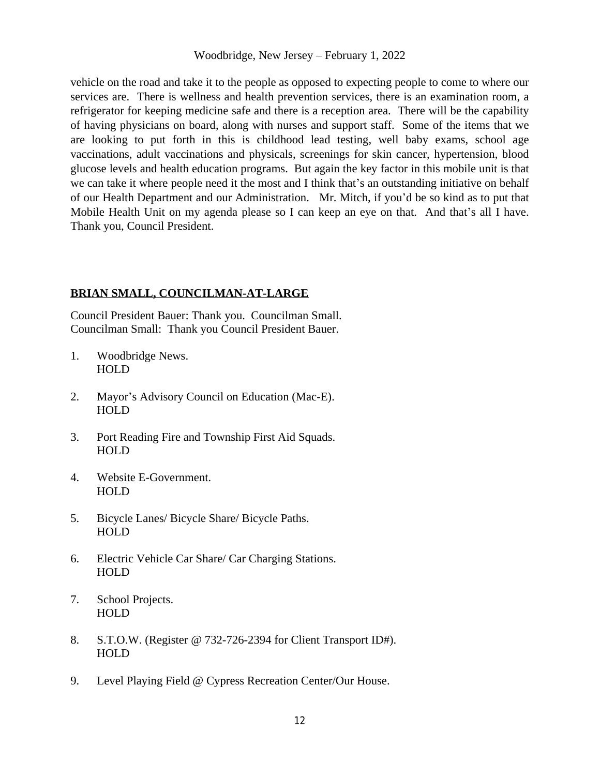vehicle on the road and take it to the people as opposed to expecting people to come to where our services are. There is wellness and health prevention services, there is an examination room, a refrigerator for keeping medicine safe and there is a reception area. There will be the capability of having physicians on board, along with nurses and support staff. Some of the items that we are looking to put forth in this is childhood lead testing, well baby exams, school age vaccinations, adult vaccinations and physicals, screenings for skin cancer, hypertension, blood glucose levels and health education programs. But again the key factor in this mobile unit is that we can take it where people need it the most and I think that's an outstanding initiative on behalf of our Health Department and our Administration. Mr. Mitch, if you'd be so kind as to put that Mobile Health Unit on my agenda please so I can keep an eye on that. And that's all I have. Thank you, Council President.

### **BRIAN SMALL, COUNCILMAN-AT-LARGE**

Council President Bauer: Thank you. Councilman Small. Councilman Small: Thank you Council President Bauer.

- 1. Woodbridge News. HOLD
- 2. Mayor's Advisory Council on Education (Mac-E). HOLD
- 3. Port Reading Fire and Township First Aid Squads. HOLD
- 4. Website E-Government. HOLD
- 5. Bicycle Lanes/ Bicycle Share/ Bicycle Paths. HOLD
- 6. Electric Vehicle Car Share/ Car Charging Stations. HOLD
- 7. School Projects. HOLD
- 8. S.T.O.W. (Register @ 732-726-2394 for Client Transport ID#). HOLD
- 9. Level Playing Field @ Cypress Recreation Center/Our House.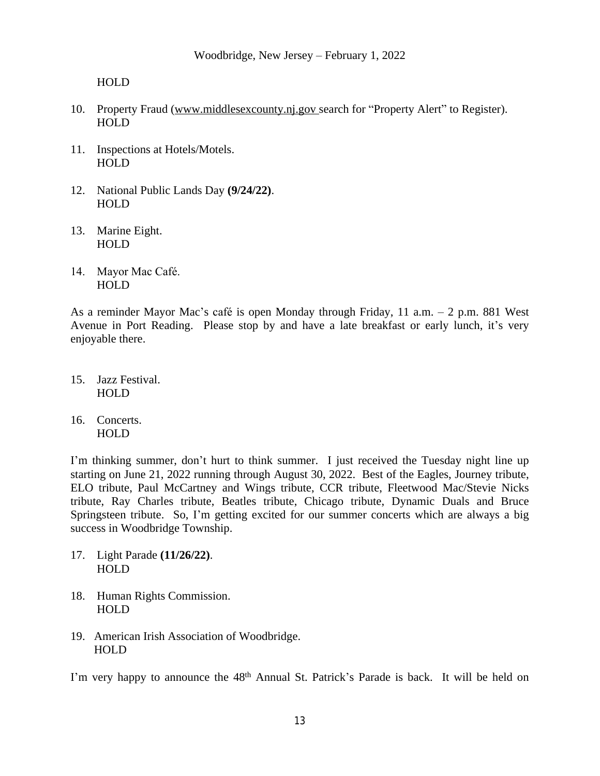HOLD

- 10. Property Fraud [\(www.middlesexcounty.nj.gov](http://www.middlesexcounty.nj.gov) search for "Property Alert" to Register). HOLD
- 11. Inspections at Hotels/Motels. HOLD
- 12. National Public Lands Day **(9/24/22)**. HOLD
- 13. Marine Eight. HOLD
- 14. Mayor Mac Café. HOLD

As a reminder Mayor Mac's café is open Monday through Friday, 11 a.m. – 2 p.m. 881 West Avenue in Port Reading. Please stop by and have a late breakfast or early lunch, it's very enjoyable there.

- 15. Jazz Festival. HOLD
- 16. Concerts. HOLD

I'm thinking summer, don't hurt to think summer. I just received the Tuesday night line up starting on June 21, 2022 running through August 30, 2022. Best of the Eagles, Journey tribute, ELO tribute, Paul McCartney and Wings tribute, CCR tribute, Fleetwood Mac/Stevie Nicks tribute, Ray Charles tribute, Beatles tribute, Chicago tribute, Dynamic Duals and Bruce Springsteen tribute. So, I'm getting excited for our summer concerts which are always a big success in Woodbridge Township.

- 17. Light Parade **(11/26/22)**. HOLD
- 18. Human Rights Commission. HOLD
- 19. American Irish Association of Woodbridge. HOLD

I'm very happy to announce the 48<sup>th</sup> Annual St. Patrick's Parade is back. It will be held on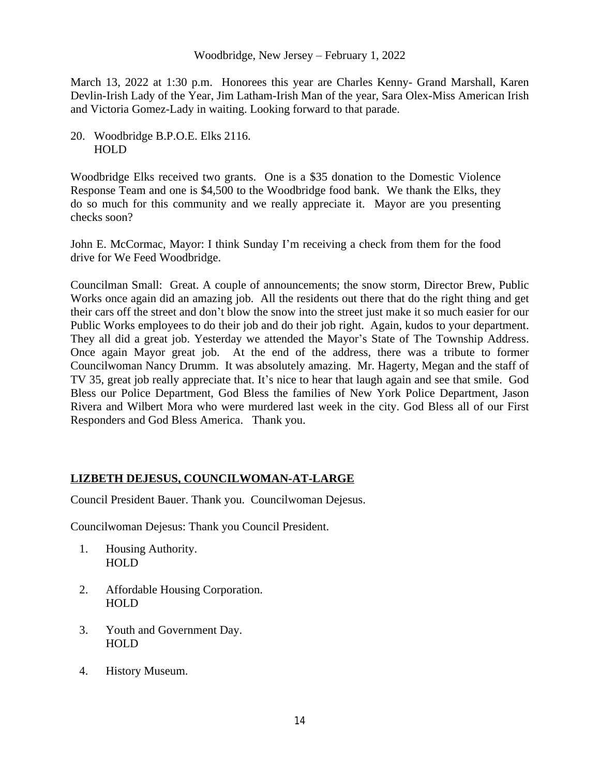March 13, 2022 at 1:30 p.m. Honorees this year are Charles Kenny- Grand Marshall, Karen Devlin-Irish Lady of the Year, Jim Latham-Irish Man of the year, Sara Olex-Miss American Irish and Victoria Gomez-Lady in waiting. Looking forward to that parade.

20. Woodbridge B.P.O.E. Elks 2116. HOLD

Woodbridge Elks received two grants. One is a \$35 donation to the Domestic Violence Response Team and one is \$4,500 to the Woodbridge food bank. We thank the Elks, they do so much for this community and we really appreciate it. Mayor are you presenting checks soon?

John E. McCormac, Mayor: I think Sunday I'm receiving a check from them for the food drive for We Feed Woodbridge.

Councilman Small: Great. A couple of announcements; the snow storm, Director Brew, Public Works once again did an amazing job. All the residents out there that do the right thing and get their cars off the street and don't blow the snow into the street just make it so much easier for our Public Works employees to do their job and do their job right. Again, kudos to your department. They all did a great job. Yesterday we attended the Mayor's State of The Township Address. Once again Mayor great job. At the end of the address, there was a tribute to former Councilwoman Nancy Drumm. It was absolutely amazing. Mr. Hagerty, Megan and the staff of TV 35, great job really appreciate that. It's nice to hear that laugh again and see that smile. God Bless our Police Department, God Bless the families of New York Police Department, Jason Rivera and Wilbert Mora who were murdered last week in the city. God Bless all of our First Responders and God Bless America. Thank you.

## **LIZBETH DEJESUS, COUNCILWOMAN-AT-LARGE**

Council President Bauer. Thank you. Councilwoman Dejesus.

Councilwoman Dejesus: Thank you Council President.

- 1. Housing Authority. HOLD
- 2. Affordable Housing Corporation. HOLD
- 3. Youth and Government Day. HOLD
- 4. History Museum.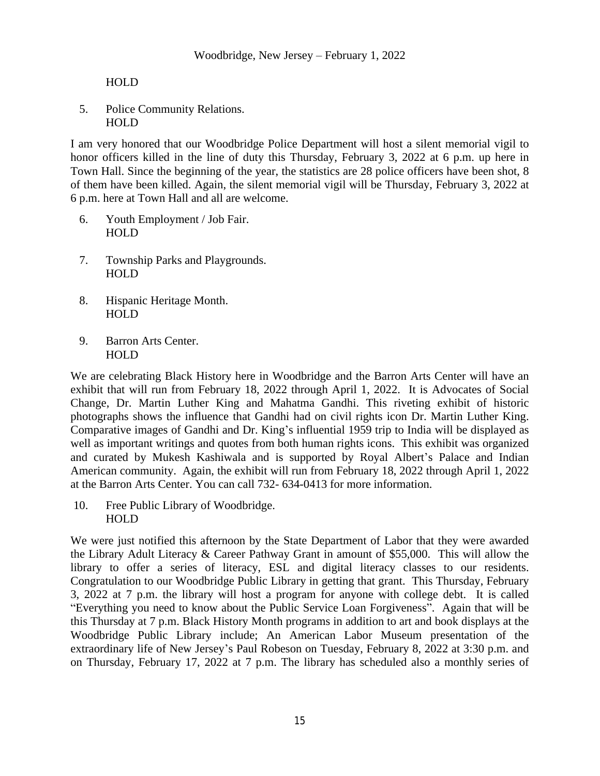HOLD

5. Police Community Relations. HOLD

I am very honored that our Woodbridge Police Department will host a silent memorial vigil to honor officers killed in the line of duty this Thursday, February 3, 2022 at 6 p.m. up here in Town Hall. Since the beginning of the year, the statistics are 28 police officers have been shot, 8 of them have been killed. Again, the silent memorial vigil will be Thursday, February 3, 2022 at 6 p.m. here at Town Hall and all are welcome.

- 6. Youth Employment / Job Fair. **HOLD**
- 7. Township Parks and Playgrounds. HOLD
- 8. Hispanic Heritage Month. HOLD
- 9. Barron Arts Center. HOLD

We are celebrating Black History here in Woodbridge and the Barron Arts Center will have an exhibit that will run from February 18, 2022 through April 1, 2022. It is Advocates of Social Change, Dr. Martin Luther King and Mahatma Gandhi. This riveting exhibit of historic photographs shows the influence that Gandhi had on civil rights icon Dr. Martin Luther King. Comparative images of Gandhi and Dr. King's influential 1959 trip to India will be displayed as well as important writings and quotes from both human rights icons. This exhibit was organized and curated by Mukesh Kashiwala and is supported by Royal Albert's Palace and Indian American community. Again, the exhibit will run from February 18, 2022 through April 1, 2022 at the Barron Arts Center. You can call 732- 634-0413 for more information.

10. Free Public Library of Woodbridge. HOLD

We were just notified this afternoon by the State Department of Labor that they were awarded the Library Adult Literacy & Career Pathway Grant in amount of \$55,000. This will allow the library to offer a series of literacy, ESL and digital literacy classes to our residents. Congratulation to our Woodbridge Public Library in getting that grant. This Thursday, February 3, 2022 at 7 p.m. the library will host a program for anyone with college debt. It is called "Everything you need to know about the Public Service Loan Forgiveness". Again that will be this Thursday at 7 p.m. Black History Month programs in addition to art and book displays at the Woodbridge Public Library include; An American Labor Museum presentation of the extraordinary life of New Jersey's Paul Robeson on Tuesday, February 8, 2022 at 3:30 p.m. and on Thursday, February 17, 2022 at 7 p.m. The library has scheduled also a monthly series of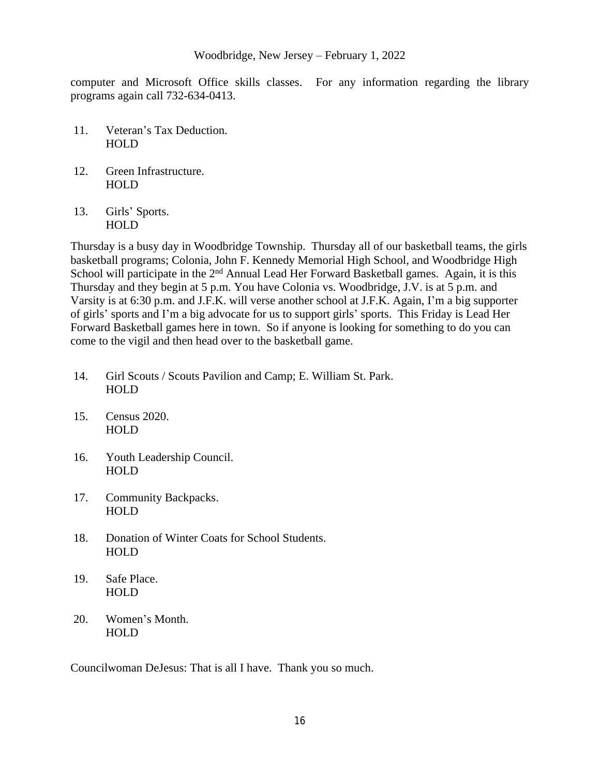computer and Microsoft Office skills classes. For any information regarding the library programs again call 732-634-0413.

- 11. Veteran's Tax Deduction. HOLD
- 12. Green Infrastructure. **HOLD**
- 13. Girls' Sports. HOLD

Thursday is a busy day in Woodbridge Township. Thursday all of our basketball teams, the girls basketball programs; Colonia, John F. Kennedy Memorial High School, and Woodbridge High School will participate in the 2<sup>nd</sup> Annual Lead Her Forward Basketball games. Again, it is this Thursday and they begin at 5 p.m. You have Colonia vs. Woodbridge, J.V. is at 5 p.m. and Varsity is at 6:30 p.m. and J.F.K. will verse another school at J.F.K. Again, I'm a big supporter of girls' sports and I'm a big advocate for us to support girls' sports. This Friday is Lead Her Forward Basketball games here in town. So if anyone is looking for something to do you can come to the vigil and then head over to the basketball game.

- 14. Girl Scouts / Scouts Pavilion and Camp; E. William St. Park. HOLD
- 15. Census 2020. HOLD
- 16. Youth Leadership Council. HOLD
- 17. Community Backpacks. HOLD
- 18. Donation of Winter Coats for School Students. HOLD
- 19. Safe Place. **HOLD**
- 20. Women's Month. HOLD

Councilwoman DeJesus: That is all I have. Thank you so much.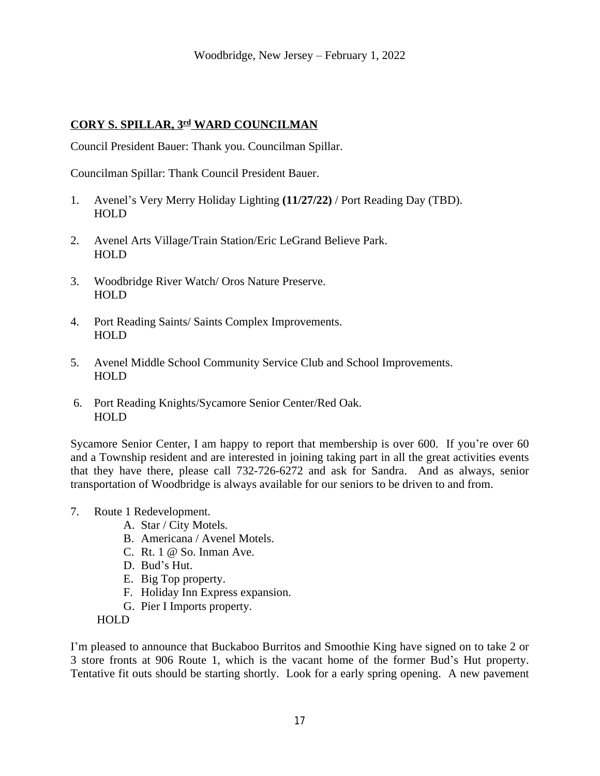## **CORY S. SPILLAR, 3rd WARD COUNCILMAN**

Council President Bauer: Thank you. Councilman Spillar.

Councilman Spillar: Thank Council President Bauer.

- 1. Avenel's Very Merry Holiday Lighting **(11/27/22)** / Port Reading Day (TBD). HOLD
- 2. Avenel Arts Village/Train Station/Eric LeGrand Believe Park. **HOLD**
- 3. Woodbridge River Watch/ Oros Nature Preserve. **HOLD**
- 4. Port Reading Saints/ Saints Complex Improvements. HOLD
- 5. Avenel Middle School Community Service Club and School Improvements. HOLD
- 6. Port Reading Knights/Sycamore Senior Center/Red Oak. HOLD

Sycamore Senior Center, I am happy to report that membership is over 600. If you're over 60 and a Township resident and are interested in joining taking part in all the great activities events that they have there, please call 732-726-6272 and ask for Sandra. And as always, senior transportation of Woodbridge is always available for our seniors to be driven to and from.

- 7. Route 1 Redevelopment.
	- A. Star / City Motels.
	- B. Americana / Avenel Motels.
	- C. Rt. 1 @ So. Inman Ave.
	- D. Bud's Hut.
	- E. Big Top property.
	- F. Holiday Inn Express expansion.
	- G. Pier I Imports property.

HOLD

I'm pleased to announce that Buckaboo Burritos and Smoothie King have signed on to take 2 or 3 store fronts at 906 Route 1, which is the vacant home of the former Bud's Hut property. Tentative fit outs should be starting shortly. Look for a early spring opening. A new pavement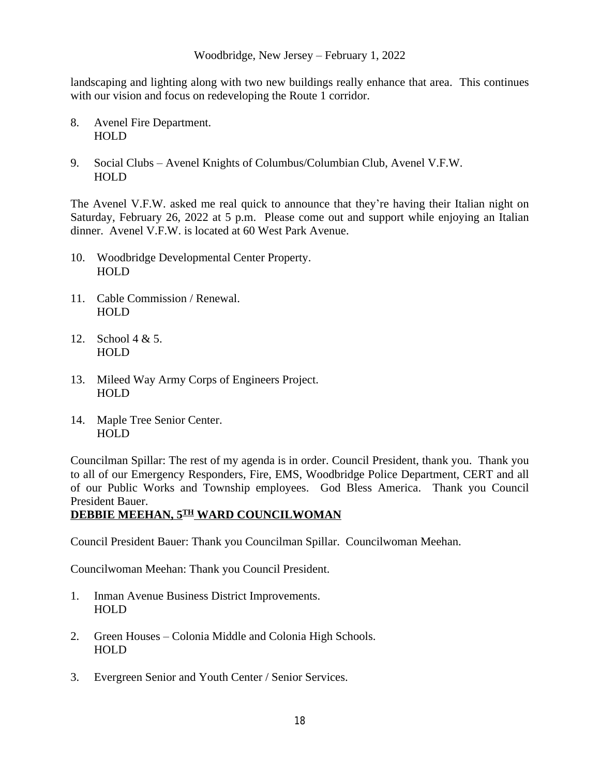landscaping and lighting along with two new buildings really enhance that area. This continues with our vision and focus on redeveloping the Route 1 corridor.

- 8. Avenel Fire Department. HOLD
- 9. Social Clubs Avenel Knights of Columbus/Columbian Club, Avenel V.F.W. HOLD

The Avenel V.F.W. asked me real quick to announce that they're having their Italian night on Saturday, February 26, 2022 at 5 p.m. Please come out and support while enjoying an Italian dinner. Avenel V.F.W. is located at 60 West Park Avenue.

- 10. Woodbridge Developmental Center Property. HOLD
- 11. Cable Commission / Renewal. HOLD
- 12. School 4 & 5. HOLD
- 13. Mileed Way Army Corps of Engineers Project. HOLD
- 14. Maple Tree Senior Center. HOLD

Councilman Spillar: The rest of my agenda is in order. Council President, thank you. Thank you to all of our Emergency Responders, Fire, EMS, Woodbridge Police Department, CERT and all of our Public Works and Township employees. God Bless America. Thank you Council President Bauer.

## **DEBBIE MEEHAN, 5TH WARD COUNCILWOMAN**

Council President Bauer: Thank you Councilman Spillar. Councilwoman Meehan.

Councilwoman Meehan: Thank you Council President.

- 1. Inman Avenue Business District Improvements. HOLD
- 2. Green Houses Colonia Middle and Colonia High Schools. HOLD
- 3. Evergreen Senior and Youth Center / Senior Services.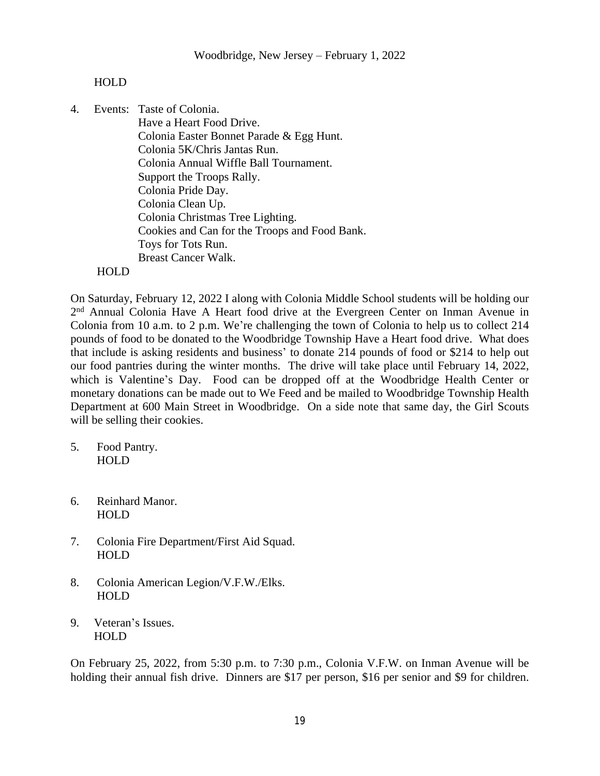### HOLD

4. Events: Taste of Colonia.

 Have a Heart Food Drive. Colonia Easter Bonnet Parade & Egg Hunt. Colonia 5K/Chris Jantas Run. Colonia Annual Wiffle Ball Tournament. Support the Troops Rally. Colonia Pride Day. Colonia Clean Up. Colonia Christmas Tree Lighting. Cookies and Can for the Troops and Food Bank. Toys for Tots Run. Breast Cancer Walk.

#### HOLD

On Saturday, February 12, 2022 I along with Colonia Middle School students will be holding our 2<sup>nd</sup> Annual Colonia Have A Heart food drive at the Evergreen Center on Inman Avenue in Colonia from 10 a.m. to 2 p.m. We're challenging the town of Colonia to help us to collect 214 pounds of food to be donated to the Woodbridge Township Have a Heart food drive. What does that include is asking residents and business' to donate 214 pounds of food or \$214 to help out our food pantries during the winter months. The drive will take place until February 14, 2022, which is Valentine's Day. Food can be dropped off at the Woodbridge Health Center or monetary donations can be made out to We Feed and be mailed to Woodbridge Township Health Department at 600 Main Street in Woodbridge. On a side note that same day, the Girl Scouts will be selling their cookies.

- 5. Food Pantry. HOLD
- 6. Reinhard Manor. HOLD
- 7. Colonia Fire Department/First Aid Squad. HOLD
- 8. Colonia American Legion/V.F.W./Elks. HOLD
- 9. Veteran's Issues. **HOLD**

On February 25, 2022, from 5:30 p.m. to 7:30 p.m., Colonia V.F.W. on Inman Avenue will be holding their annual fish drive. Dinners are \$17 per person, \$16 per senior and \$9 for children.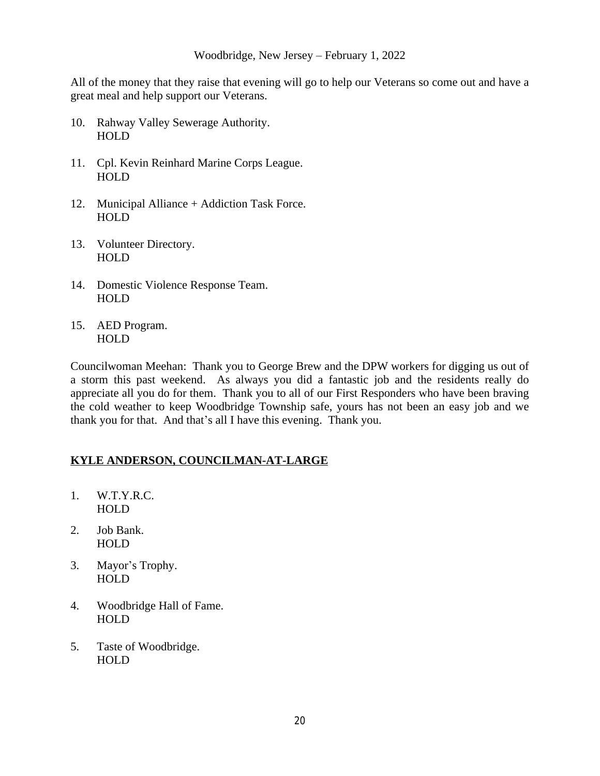All of the money that they raise that evening will go to help our Veterans so come out and have a great meal and help support our Veterans.

- 10. Rahway Valley Sewerage Authority. HOLD
- 11. Cpl. Kevin Reinhard Marine Corps League. HOLD
- 12. Municipal Alliance + Addiction Task Force. HOLD
- 13. Volunteer Directory. HOLD
- 14. Domestic Violence Response Team. HOLD
- 15. AED Program. HOLD

Councilwoman Meehan: Thank you to George Brew and the DPW workers for digging us out of a storm this past weekend. As always you did a fantastic job and the residents really do appreciate all you do for them. Thank you to all of our First Responders who have been braving the cold weather to keep Woodbridge Township safe, yours has not been an easy job and we thank you for that. And that's all I have this evening. Thank you.

## **KYLE ANDERSON, COUNCILMAN-AT-LARGE**

- 1. W.T.Y.R.C. HOLD
- 2. Job Bank. HOLD
- 3. Mayor's Trophy. HOLD
- 4. Woodbridge Hall of Fame. HOLD
- 5. Taste of Woodbridge. HOLD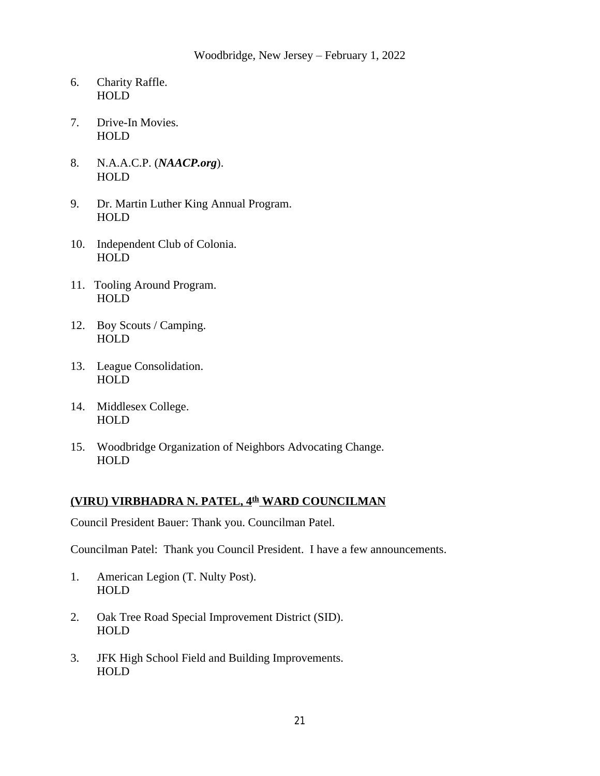- 6. Charity Raffle. HOLD
- 7. Drive-In Movies. HOLD
- 8. N.A.A.C.P. (*NAACP.org*). HOLD
- 9. Dr. Martin Luther King Annual Program. HOLD
- 10. Independent Club of Colonia. HOLD
- 11. Tooling Around Program. **HOLD**
- 12. Boy Scouts / Camping. HOLD
- 13. League Consolidation. HOLD
- 14. Middlesex College. HOLD
- 15. Woodbridge Organization of Neighbors Advocating Change. HOLD

### **(VIRU) VIRBHADRA N. PATEL, 4th WARD COUNCILMAN**

Council President Bauer: Thank you. Councilman Patel.

Councilman Patel: Thank you Council President. I have a few announcements.

- 1. American Legion (T. Nulty Post). **HOLD**
- 2. Oak Tree Road Special Improvement District (SID). HOLD
- 3. JFK High School Field and Building Improvements. HOLD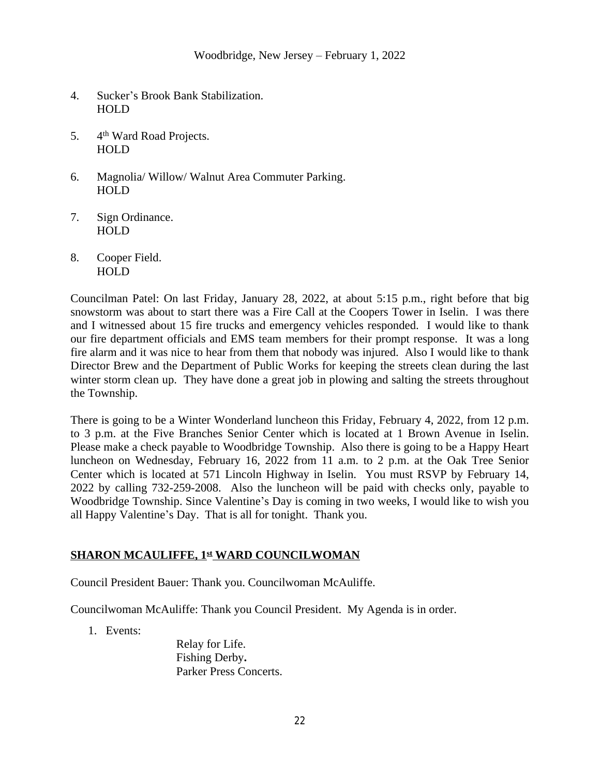- 4. Sucker's Brook Bank Stabilization. HOLD
- 5. 4th Ward Road Projects. HOLD
- 6. Magnolia/ Willow/ Walnut Area Commuter Parking. HOLD
- 7. Sign Ordinance. HOLD
- 8. Cooper Field. HOLD

Councilman Patel: On last Friday, January 28, 2022, at about 5:15 p.m., right before that big snowstorm was about to start there was a Fire Call at the Coopers Tower in Iselin. I was there and I witnessed about 15 fire trucks and emergency vehicles responded. I would like to thank our fire department officials and EMS team members for their prompt response. It was a long fire alarm and it was nice to hear from them that nobody was injured. Also I would like to thank Director Brew and the Department of Public Works for keeping the streets clean during the last winter storm clean up. They have done a great job in plowing and salting the streets throughout the Township.

There is going to be a Winter Wonderland luncheon this Friday, February 4, 2022, from 12 p.m. to 3 p.m. at the Five Branches Senior Center which is located at 1 Brown Avenue in Iselin. Please make a check payable to Woodbridge Township. Also there is going to be a Happy Heart luncheon on Wednesday, February 16, 2022 from 11 a.m. to 2 p.m. at the Oak Tree Senior Center which is located at 571 Lincoln Highway in Iselin. You must RSVP by February 14, 2022 by calling 732-259-2008. Also the luncheon will be paid with checks only, payable to Woodbridge Township. Since Valentine's Day is coming in two weeks, I would like to wish you all Happy Valentine's Day. That is all for tonight. Thank you.

## **SHARON MCAULIFFE, 1st WARD COUNCILWOMAN**

Council President Bauer: Thank you. Councilwoman McAuliffe.

Councilwoman McAuliffe: Thank you Council President. My Agenda is in order.

1. Events:

Relay for Life. Fishing Derby**.** Parker Press Concerts.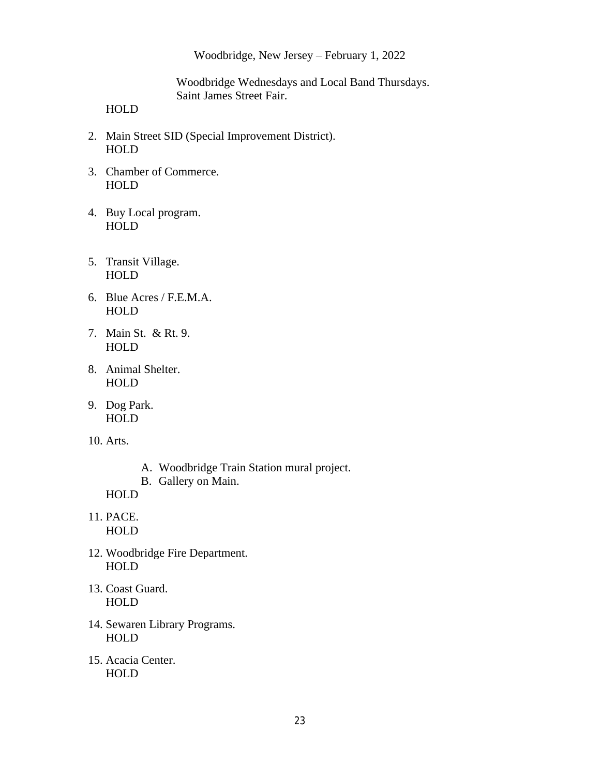Woodbridge Wednesdays and Local Band Thursdays. Saint James Street Fair.

HOLD

- 2. Main Street SID (Special Improvement District). HOLD
- 3. Chamber of Commerce. HOLD
- 4. Buy Local program. HOLD
- 5. Transit Village. HOLD
- 6. Blue Acres / F.E.M.A. HOLD
- 7. Main St. & Rt. 9. HOLD
- 8. Animal Shelter. HOLD
- 9. Dog Park. HOLD
- 10. Arts.
- A. Woodbridge Train Station mural project.
- B. Gallery on Main.

HOLD

- 11. PACE. HOLD
- 12. Woodbridge Fire Department. HOLD
- 13. Coast Guard. HOLD
- 14. Sewaren Library Programs. **HOLD**
- 15. Acacia Center. HOLD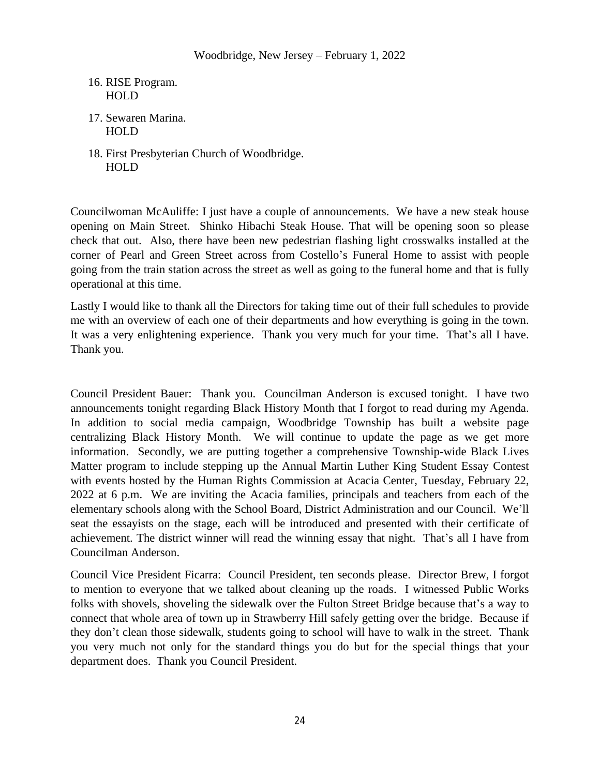## 16. RISE Program. HOLD

- 17. Sewaren Marina. HOLD
- 18. First Presbyterian Church of Woodbridge. HOLD

Councilwoman McAuliffe: I just have a couple of announcements. We have a new steak house opening on Main Street. Shinko Hibachi Steak House. That will be opening soon so please check that out. Also, there have been new pedestrian flashing light crosswalks installed at the corner of Pearl and Green Street across from Costello's Funeral Home to assist with people going from the train station across the street as well as going to the funeral home and that is fully operational at this time.

Lastly I would like to thank all the Directors for taking time out of their full schedules to provide me with an overview of each one of their departments and how everything is going in the town. It was a very enlightening experience. Thank you very much for your time. That's all I have. Thank you.

Council President Bauer: Thank you. Councilman Anderson is excused tonight. I have two announcements tonight regarding Black History Month that I forgot to read during my Agenda. In addition to social media campaign, Woodbridge Township has built a website page centralizing Black History Month. We will continue to update the page as we get more information. Secondly, we are putting together a comprehensive Township-wide Black Lives Matter program to include stepping up the Annual Martin Luther King Student Essay Contest with events hosted by the Human Rights Commission at Acacia Center, Tuesday, February 22, 2022 at 6 p.m. We are inviting the Acacia families, principals and teachers from each of the elementary schools along with the School Board, District Administration and our Council. We'll seat the essayists on the stage, each will be introduced and presented with their certificate of achievement. The district winner will read the winning essay that night. That's all I have from Councilman Anderson.

Council Vice President Ficarra: Council President, ten seconds please. Director Brew, I forgot to mention to everyone that we talked about cleaning up the roads. I witnessed Public Works folks with shovels, shoveling the sidewalk over the Fulton Street Bridge because that's a way to connect that whole area of town up in Strawberry Hill safely getting over the bridge. Because if they don't clean those sidewalk, students going to school will have to walk in the street. Thank you very much not only for the standard things you do but for the special things that your department does. Thank you Council President.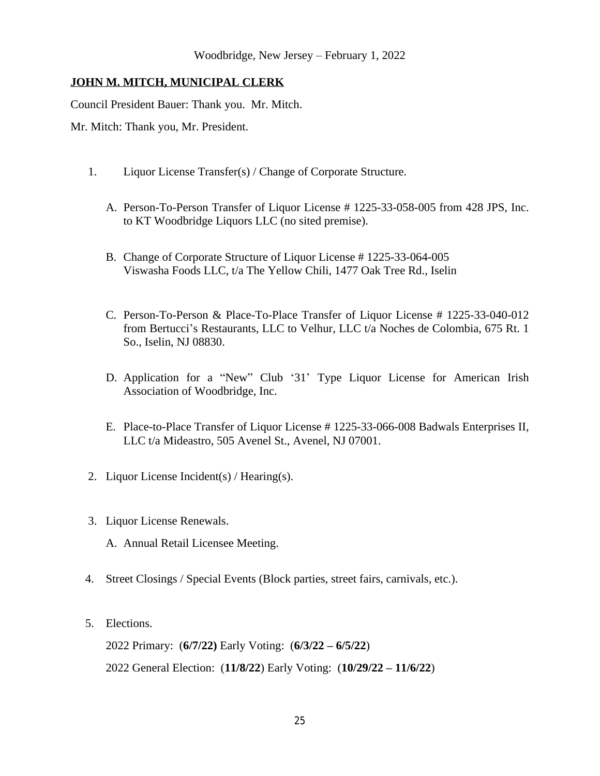## **JOHN M. MITCH, MUNICIPAL CLERK**

Council President Bauer: Thank you. Mr. Mitch.

Mr. Mitch: Thank you, Mr. President.

- 1. Liquor License Transfer(s) / Change of Corporate Structure.
	- A. Person-To-Person Transfer of Liquor License # 1225-33-058-005 from 428 JPS, Inc. to KT Woodbridge Liquors LLC (no sited premise).
	- B. Change of Corporate Structure of Liquor License # 1225-33-064-005 Viswasha Foods LLC, t/a The Yellow Chili, 1477 Oak Tree Rd., Iselin
	- C. Person-To-Person & Place-To-Place Transfer of Liquor License # 1225-33-040-012 from Bertucci's Restaurants, LLC to Velhur, LLC t/a Noches de Colombia, 675 Rt. 1 So., Iselin, NJ 08830.
	- D. Application for a "New" Club '31' Type Liquor License for American Irish Association of Woodbridge, Inc.
	- E. Place-to-Place Transfer of Liquor License # 1225-33-066-008 Badwals Enterprises II, LLC t/a Mideastro, 505 Avenel St., Avenel, NJ 07001.
- 2. Liquor License Incident(s) / Hearing(s).
- 3. Liquor License Renewals.
	- A. Annual Retail Licensee Meeting.
- 4. Street Closings / Special Events (Block parties, street fairs, carnivals, etc.).
- 5. Elections.

2022 Primary: (**6/7/22)** Early Voting: (**6/3/22 – 6/5/22**) 2022 General Election: (**11/8/22**) Early Voting: (**10/29/22 – 11/6/22**)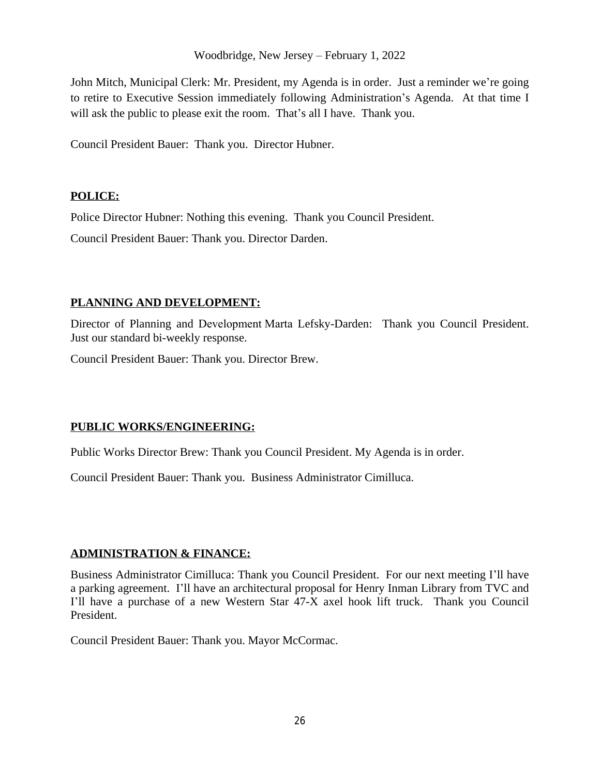John Mitch, Municipal Clerk: Mr. President, my Agenda is in order. Just a reminder we're going to retire to Executive Session immediately following Administration's Agenda. At that time I will ask the public to please exit the room. That's all I have. Thank you.

Council President Bauer: Thank you. Director Hubner.

## **POLICE:**

Police Director Hubner: Nothing this evening. Thank you Council President.

Council President Bauer: Thank you. Director Darden.

## **PLANNING AND DEVELOPMENT:**

Director of Planning and Development Marta Lefsky-Darden: Thank you Council President. Just our standard bi-weekly response.

Council President Bauer: Thank you. Director Brew.

## **PUBLIC WORKS/ENGINEERING:**

Public Works Director Brew: Thank you Council President. My Agenda is in order.

Council President Bauer: Thank you. Business Administrator Cimilluca.

## **ADMINISTRATION & FINANCE:**

Business Administrator Cimilluca: Thank you Council President. For our next meeting I'll have a parking agreement. I'll have an architectural proposal for Henry Inman Library from TVC and I'll have a purchase of a new Western Star 47-X axel hook lift truck. Thank you Council President.

Council President Bauer: Thank you. Mayor McCormac.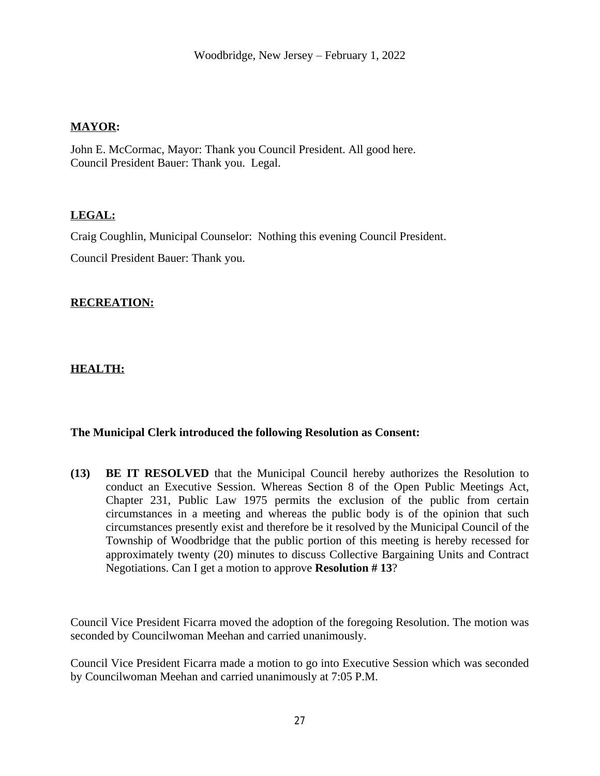### **MAYOR:**

John E. McCormac, Mayor: Thank you Council President. All good here. Council President Bauer: Thank you. Legal.

### **LEGAL:**

Craig Coughlin, Municipal Counselor: Nothing this evening Council President.

Council President Bauer: Thank you.

### **RECREATION:**

**HEALTH:**

### **The Municipal Clerk introduced the following Resolution as Consent:**

**(13) BE IT RESOLVED** that the Municipal Council hereby authorizes the Resolution to conduct an Executive Session. Whereas Section 8 of the Open Public Meetings Act, Chapter 231, Public Law 1975 permits the exclusion of the public from certain circumstances in a meeting and whereas the public body is of the opinion that such circumstances presently exist and therefore be it resolved by the Municipal Council of the Township of Woodbridge that the public portion of this meeting is hereby recessed for approximately twenty (20) minutes to discuss Collective Bargaining Units and Contract Negotiations. Can I get a motion to approve **Resolution # 13**?

Council Vice President Ficarra moved the adoption of the foregoing Resolution. The motion was seconded by Councilwoman Meehan and carried unanimously.

Council Vice President Ficarra made a motion to go into Executive Session which was seconded by Councilwoman Meehan and carried unanimously at 7:05 P.M.